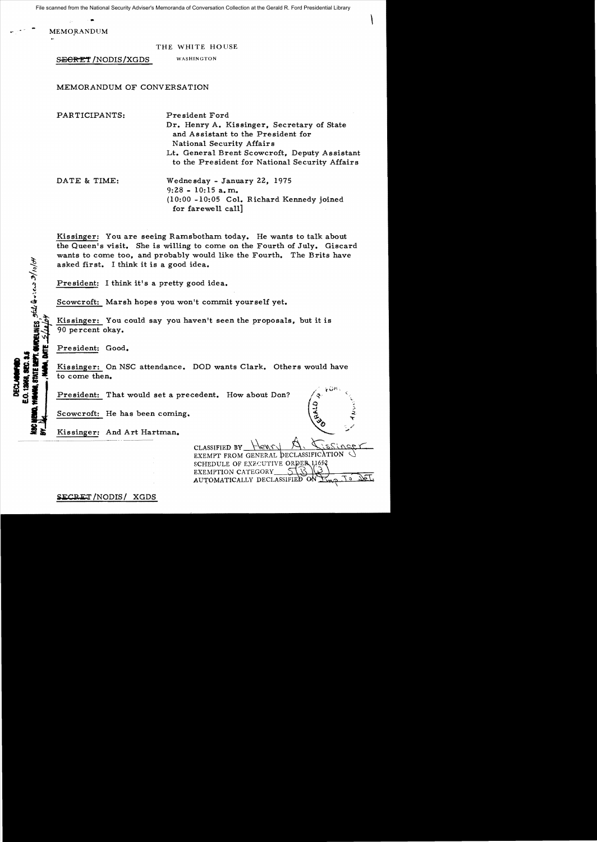National Security Adviser 5 Membrianda of Schreiseabh Scheckern at the Serate R. Ford Fresherman Elistary File scanned from the National Security Adviser's Memoranda of Conversation Collection at the Gerald R. Ford Presidential Library

**MEMORANDUM** 

THE WHITE HOUSE

SECRET / NODIS/XGDS WASHINGTON

MEMORANDUM OF CONVERSATION

PARTICIPANTS: President Ford Dr. Henry A. Kissinger, Secretary of State and Assistant to the President for National Security Affairs Lt. General Brent Scowcroft, Deputy Assistant to the President for National Security Affairs DATE & TIME: Wednesday - January 22, 1975 9:28 - 10:15 a. m.  $(10:00 - 10:05)$  Col. Richard Kennedy joined for farewell call]

Kissinger: You are seeing Ramsbotham today. He wants to talk about the Queen's visit. She is willing to come on the Fourth of July. Giscard wants to come too, and probably would like the Fourth. The Brits have asked first. I think it is a good idea.

President: I think it's a pretty good idea.

Scowcroft: Marsh hopes you won't commit yourself yet.

Kissinger: You could say you haven't seen the proposals, but it is 90 percent okay.

President: Good.

HALES SELL Q . . en 2/10/04

Kissinger: On NSC attendance. DOD wants Clark. Others would have to come then.

President: That would set a precedent. How about Don?

Scowcroft: He has been coming.

 $\mathcal{L}$  , and  $\mathcal{L}$ Example 1 to come then.<br>
President: That would set a precedent. How about Don?<br>
Scowcroft: He has been coming.<br>
Kissinger: And Art Hartman.<br>
The stress of the stress of the stress of the stress of the stress of the stress

CLASSIFIED BY

EXEMPT FROM GENERAL SCHEDULE OF EXECUTIVE ORDER EXEMPTION CATEGORY AUTOMATICALLY DECLASSIFIE

SECRET/NODIS/ XGDS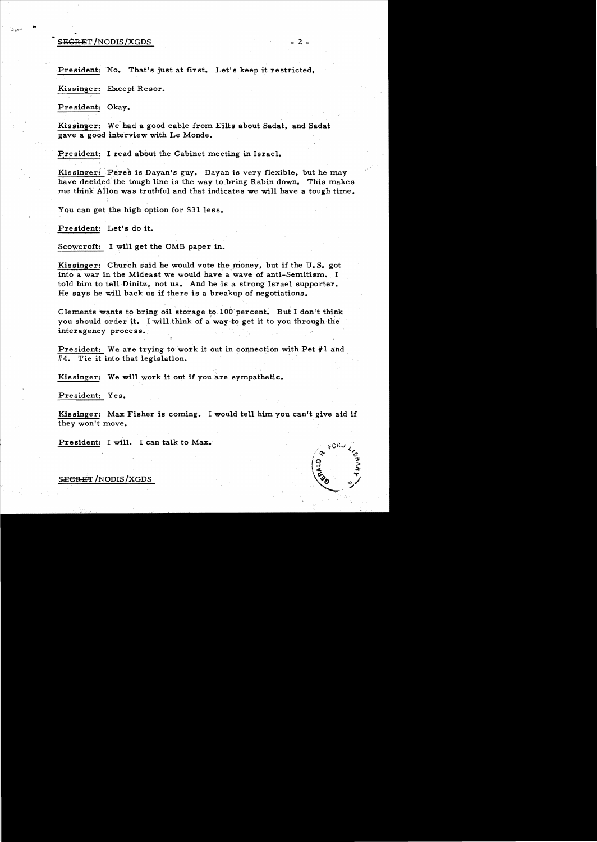## $S.$  SEGRET/NODIS/XGDS  $- 2 - 2$

..

President: No. That's just at first. Let's keep it restricted.

Kissinger: Except Resor.

Pre sident: Okay.

Kissinger: We'had a good cable from Eilts about Sadat, and Sadat gave a good interview with Le Monde.

President: I read about the Cabinet meeting in Israel.

Kissinger: Peres is Dayan's guy. Dayan is very flexible, but he may have decided the tough line is the way to bring Rabin down. This makes me think Allon was truthful and that indicates we will have a tough time.

You can get the high option for \$31 less.

President: Let's do it.

Scowcroft: I will get the OMB paper in.

Kissinger: Church said he would vote the money, but if the U.S. got into a war in the Mideast we would have a wave of anti-Semitism. I told him to tell Dinitz, not us. And he is a strong Israel supporter. He says he will back us if there is a breakup of negotiations.

Clements wants to bring oil storage to 100 percent. But I don't think you should order it. I will think of a way to get it to you through the interagency process.

President: We are trying to work it out in connection with Pet #1 and  $#4$ . Tie it into that legislation.

Kissinger: We will work it out if you are sympathetic.

President: Yes.

Kissinger: Max Fisher is coming. I would tell him you can't give aid if they won't move.

Pre sident: I will. I can talk to Max.

S<del>ECRE</del>T/NODIS/XGDS